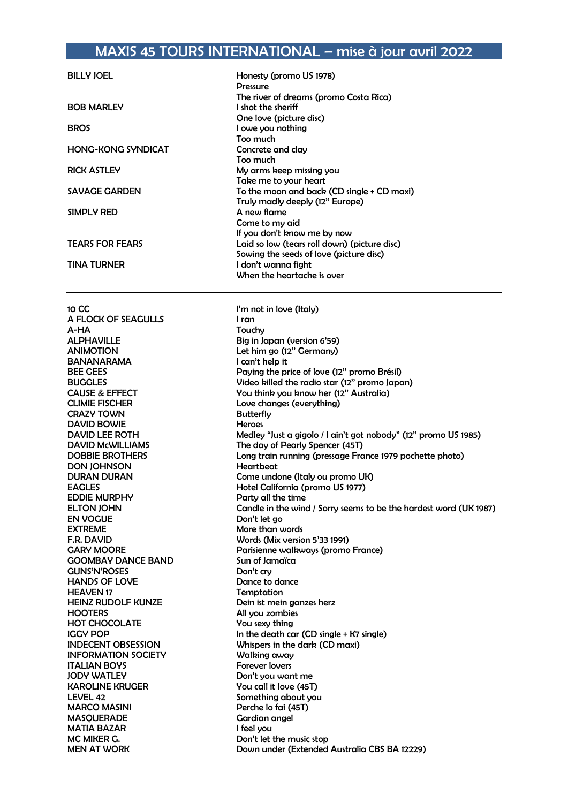## MAXIS 45 TOURS INTERNATIONAL – mise à jour avril 2022

| <b>BILLY JOEL</b>         | Honesty (promo US 1978)<br><b>Pressure</b>   |
|---------------------------|----------------------------------------------|
|                           | The river of dreams (promo Costa Rica)       |
| <b>BOB MARLEY</b>         | I shot the sheriff                           |
|                           | One love (picture disc)                      |
| <b>BROS</b>               | I owe you nothing                            |
|                           | Too much                                     |
| <b>HONG-KONG SYNDICAT</b> | Concrete and clay                            |
|                           | Too much                                     |
| <b>RICK ASTLEY</b>        | My arms keep missing you                     |
|                           | Take me to your heart                        |
| <b>SAVAGE GARDEN</b>      | To the moon and back (CD single + CD maxi)   |
|                           | Truly madly deeply (12" Europe)              |
| SIMPLY RED                | A new flame                                  |
|                           | Come to my aid                               |
|                           | If you don't know me by now                  |
| <b>TEARS FOR FEARS</b>    | Laid so low (tears roll down) (picture disc) |
|                           | Sowing the seeds of love (picture disc)      |
| <b>TINA TURNER</b>        | I don't wanna fight                          |
|                           | When the heartache is over                   |

10 CC  $\qquad \qquad$  I'm not in love (Italy)<br>A FLOCK OF SEAGULLS Iran A FLOCK OF SEAGULLS A-HA Touchy ALPHAVILLE Big in Japan (version 6'59)<br>ANIMOTION Let him ao (12" Germany) BANANARAMA I can't help it CLIMIE FISCHER Love changes (everything)<br>
CRAZY TOWN CRAZY COM **CRAZY TOWN** DAVID BOWIE Heroes DON JOHNSON<br>DURAN DURAN EDDIE MURPHY Party all the time EN VOGUE Don't let go EXTREME More than words F.R. DAVID Words (Mix version 5'33 1991) GOOMBAY DANCE BAND Sun of Jamaïca GUNS'N'ROSES HANDS OF LOVE Dance to dance HEAVEN 17<br>
HEINZ RUDOLF KUNZE
HEINZ RUDOLF KUNZE HOOTERS All you zombies HOT CHOCOLATE You sexy thing INFORMATION SOCIETY Walking away ITALIAN BOYS Forever lovers KAROLINE KRUGER You call it love (45T) LEVEL 42 Something about you MARCO MASINI Perche lo fai (45T) MASQUERADE Gardian angel<br>
MATIA BAZAR
IMATIA BAZAR
SARIA SHARIA NG MATIA BAZAR
IMATIA BAZAR
IMATIA BAZAR **MATIA BAZAR** MC MIKER G. Sandwich MC MIKER G.

Let him go (12" Germany) BEE GEES Paying the price of love (12'' promo Brésil) BUGGLES Video killed the radio star (12'' promo Japan) CAUSE & EFFECT You think you know her (12'' Australia) DAVID LEE ROTH Medley "Just a gigolo / I ain't got nobody" (12" promo US 1985)<br>DAVID McWILLIAMS The day of Pearly Spencer (45T) DAVID McWILLIAMS The day of Pearly Spencer (45T)<br>DOBBIE BROTHERS Long train running (pressage From Long train running (pressage France 1979 pochette photo)<br>Heartbeat Come undone (Italy ou promo UK) EAGLES Hotel California (promo US 1977) ELTON JOHN Candle in the wind / Sorry seems to be the hardest word (UK 1987) GARY MOORE Parisienne walkways (promo France) Dein ist mein ganzes herz IGGY POP **In the death car (CD single + K7 single)** INDECENT OBSESSION Whispers in the dark (CD maxi) Don't you want me MEN AT WORK Down under (Extended Australia CBS BA 12229)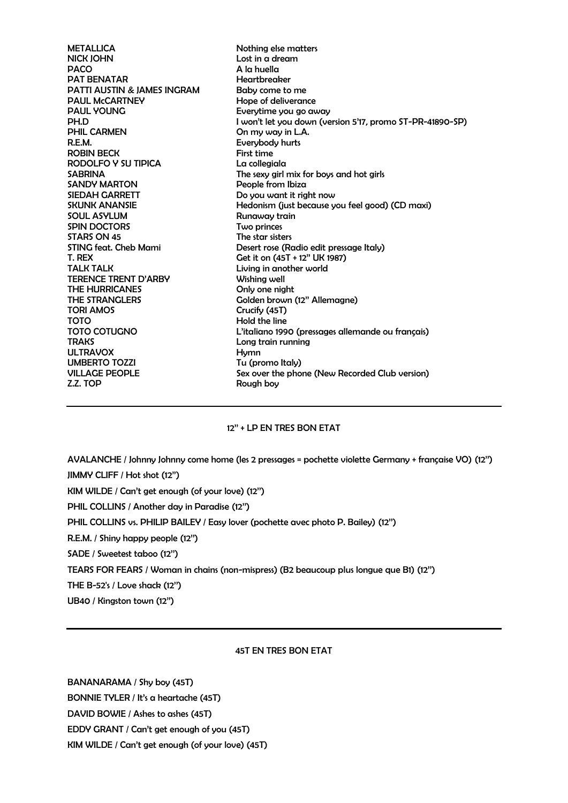METALLICA Nothing else matters NICK JOHN Lost in a dream PACO A la huella PAT BENATAR Heartbreaker PATTI AUSTIN & JAMES INGRAM Baby come to me PAUL McCARTNEY Hope of deliverance PAUL YOUNG **Everytime** you go away PH.D I won't let you down (version 5'17, promo ST-PR-41890-SP) On my way in L.A. R.E.M. Everybody hurts ROBIN BECK First time RODOLFO Y SU TIPICA La collegiala SABRINA The sexy girl mix for boys and hot girls SANDY MARTON People from Ibiza SIEDAH GARRETT DO YOU want it right now SKUNK ANANSIE Hedonism (just because you feel good) (CD maxi) SOUL ASYLUM Runaway train SPIN DOCTORS Two princes STARS ON 45 The star sisters STING feat. Cheb Mami Desert rose (Radio edit pressage Italy) T. REX Get it on  $(45T + 12"$  UK 1987) TALK TALK **TALK EXECUTE:** Living in another world TERENCE TRENT D'ARBY Wishing well THE HURRICANES Only one night THE STRANGLERS Golden brown (12" Allemagne) TORI AMOS Crucify (45T) TOTO **Hold the line** TOTO COTUGNO L'italiano 1990 (pressages allemande ou français) TRAKS Long train running ULTRAVOX Hymn UMBERTO TOZZI Tu (promo Italy) VILLAGE PEOPLE Sex over the phone (New Recorded Club version)<br>
Z.Z. TOP Rough boy

## 12'' + LP EN TRES BON ETAT

AVALANCHE / Johnny Johnny come home (les 2 pressages = pochette violette Germany + française VO) (12'') JIMMY CLIFF / Hot shot (12'') KIM WILDE / Can't get enough (of your love) (12'') PHIL COLLINS / Another day in Paradise (12'')

PHIL COLLINS vs. PHILIP BAILEY / Easy lover (pochette avec photo P. Bailey) (12'')

R.E.M. / Shiny happy people (12'')

SADE / Sweetest taboo (12'')

TEARS FOR FEARS / Woman in chains (non-mispress) (B2 beaucoup plus longue que B1) (12'')

THE B-52's / Love shack (12'')

UB40 / Kingston town (12'')

## 45T EN TRES BON ETAT

BANANARAMA / Shy boy (45T) BONNIE TYLER / It's a heartache (45T) DAVID BOWIE / Ashes to ashes (45T) EDDY GRANT / Can't get enough of you (45T) KIM WILDE / Can't get enough (of your love) (45T)